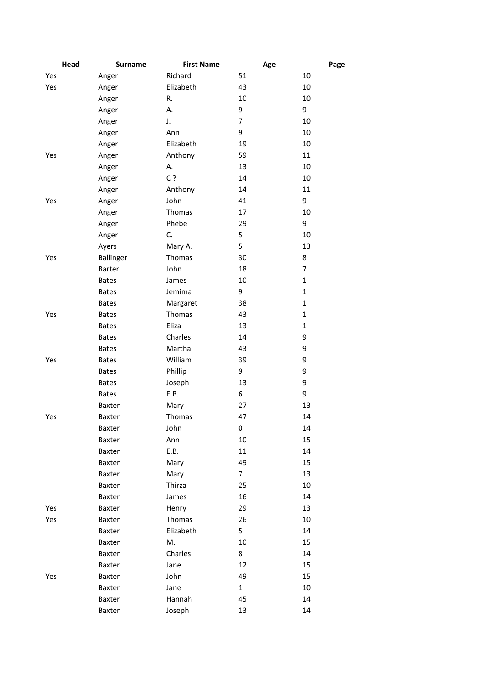| Head | <b>Surname</b>   | <b>First Name</b> | Age            | Page           |
|------|------------------|-------------------|----------------|----------------|
| Yes  | Anger            | Richard           | 51             | 10             |
| Yes  | Anger            | Elizabeth         | 43             | 10             |
|      | Anger            | R.                | 10             | 10             |
|      | Anger            | А.                | 9              | 9              |
|      | Anger            | J.                | 7              | 10             |
|      | Anger            | Ann               | 9              | 10             |
|      | Anger            | Elizabeth         | 19             | 10             |
| Yes  | Anger            | Anthony           | 59             | 11             |
|      | Anger            | А.                | 13             | 10             |
|      | Anger            | C?                | 14             | 10             |
|      | Anger            | Anthony           | 14             | 11             |
| Yes  | Anger            | John              | 41             | 9              |
|      | Anger            | Thomas            | 17             | 10             |
|      | Anger            | Phebe             | 29             | 9              |
|      | Anger            | C.                | 5              | 10             |
|      | Ayers            | Mary A.           | 5              | 13             |
| Yes  | <b>Ballinger</b> | Thomas            | 30             | 8              |
|      | Barter           | John              | 18             | $\overline{7}$ |
|      | <b>Bates</b>     | James             | 10             | $\mathbf{1}$   |
|      | <b>Bates</b>     | Jemima            | 9              | $\mathbf{1}$   |
|      | <b>Bates</b>     | Margaret          | 38             | $\mathbf{1}$   |
| Yes  | <b>Bates</b>     | Thomas            | 43             | $\mathbf{1}$   |
|      | <b>Bates</b>     | Eliza             | 13             | $\mathbf{1}$   |
|      | <b>Bates</b>     | Charles           | 14             | 9              |
|      | <b>Bates</b>     | Martha            | 43             | 9              |
| Yes  | <b>Bates</b>     | William           | 39             | 9              |
|      | <b>Bates</b>     | Phillip           | 9              | 9              |
|      | <b>Bates</b>     | Joseph            | 13             | 9              |
|      | <b>Bates</b>     | E.B.              | 6              | 9              |
|      | Baxter           | Mary              | 27             | 13             |
| Yes  | Baxter           | Thomas            | 47             | 14             |
|      | Baxter           | John              | 0              | 14             |
|      | Baxter           | Ann               | 10             | 15             |
|      | Baxter           | E.B.              | 11             | 14             |
|      | Baxter           | Mary              | 49             | 15             |
|      | Baxter           | Mary              | $\overline{7}$ | 13             |
|      | Baxter           | Thirza            | 25             | 10             |
|      | Baxter           | James             | 16             | 14             |
| Yes  | Baxter           | Henry             | 29             | 13             |
| Yes  | Baxter           | Thomas            | 26             | 10             |
|      | Baxter           | Elizabeth         | 5              | 14             |
|      | Baxter           | M.                | 10             | 15             |
|      | Baxter           | Charles           | 8              | 14             |
|      | Baxter           | Jane              | 12             | 15             |
| Yes  | Baxter           | John              | 49             | 15             |
|      | Baxter           | Jane              | $\mathbf{1}$   | $10\,$         |
|      | Baxter           | Hannah            | 45             | 14             |
|      | Baxter           | Joseph            | 13             | 14             |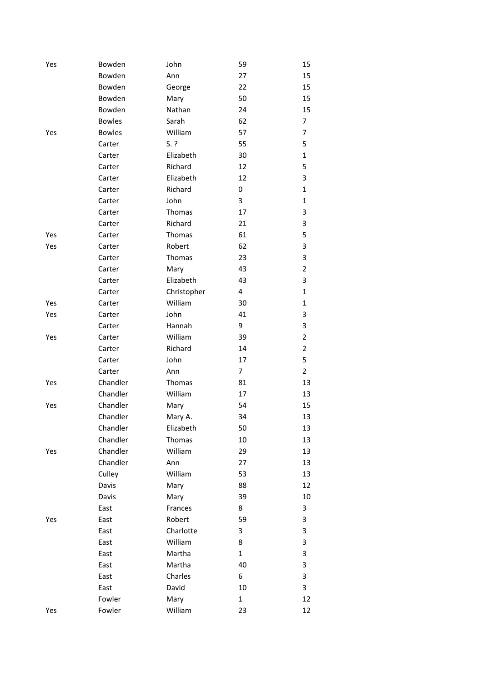| Yes | Bowden        | John        | 59             | 15             |
|-----|---------------|-------------|----------------|----------------|
|     | Bowden        | Ann         | 27             | 15             |
|     | Bowden        | George      | 22             | 15             |
|     | Bowden        | Mary        | 50             | 15             |
|     | Bowden        | Nathan      | 24             | 15             |
|     | <b>Bowles</b> | Sarah       | 62             | 7              |
| Yes | <b>Bowles</b> | William     | 57             | 7              |
|     | Carter        | $S.$ ?      | 55             | 5              |
|     | Carter        | Elizabeth   | 30             | $\mathbf{1}$   |
|     | Carter        | Richard     | 12             | 5              |
|     | Carter        | Elizabeth   | 12             | 3              |
|     | Carter        | Richard     | 0              | $\mathbf{1}$   |
|     | Carter        | John        | 3              | 1              |
|     | Carter        | Thomas      | 17             | 3              |
|     | Carter        | Richard     | 21             | 3              |
| Yes | Carter        | Thomas      | 61             | 5              |
| Yes | Carter        | Robert      | 62             | 3              |
|     | Carter        | Thomas      | 23             | 3              |
|     | Carter        | Mary        | 43             | $\overline{2}$ |
|     | Carter        | Elizabeth   | 43             | 3              |
|     | Carter        | Christopher | 4              | $\mathbf{1}$   |
| Yes | Carter        | William     | 30             | 1              |
| Yes | Carter        | John        | 41             | 3              |
|     | Carter        | Hannah      | 9              | 3              |
| Yes | Carter        | William     | 39             | $\overline{2}$ |
|     | Carter        | Richard     | 14             | $\overline{2}$ |
|     | Carter        | John        | 17             | 5              |
|     | Carter        | Ann         | $\overline{7}$ | $\overline{2}$ |
| Yes | Chandler      | Thomas      | 81             | 13             |
|     | Chandler      | William     | 17             | 13             |
| Yes | Chandler      | Mary        | 54             | 15             |
|     | Chandler      | Mary A.     | 34             | 13             |
|     | Chandler      | Elizabeth   | 50             | 13             |
|     | Chandler      | Thomas      | 10             | 13             |
| Yes | Chandler      | William     | 29             | 13             |
|     | Chandler      | Ann         | 27             | 13             |
|     | Culley        | William     | 53             | 13             |
|     | Davis         | Mary        | 88             | 12             |
|     | Davis         | Mary        | 39             | 10             |
|     | East          | Frances     | 8              | 3              |
| Yes | East          | Robert      | 59             | 3              |
|     | East          | Charlotte   | 3              | 3              |
|     | East          | William     | 8              | 3              |
|     | East          | Martha      | $\mathbf{1}$   | 3              |
|     | East          | Martha      | 40             | 3              |
|     | East          | Charles     | 6              | 3              |
|     | East          | David       | 10             | 3              |
|     | Fowler        | Mary        | $\mathbf{1}$   | 12             |
| Yes | Fowler        | William     | 23             | 12             |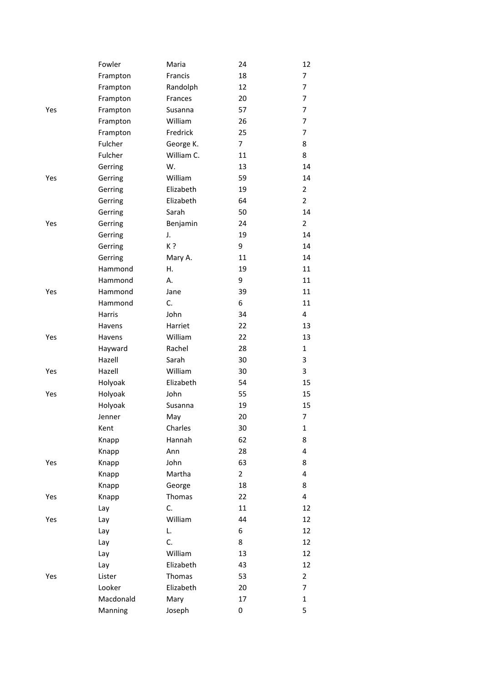|     | Fowler    | Maria      | 24             | 12             |
|-----|-----------|------------|----------------|----------------|
|     | Frampton  | Francis    | 18             | 7              |
|     | Frampton  | Randolph   | 12             | 7              |
|     | Frampton  | Frances    | 20             | 7              |
| Yes | Frampton  | Susanna    | 57             | 7              |
|     | Frampton  | William    | 26             | 7              |
|     | Frampton  | Fredrick   | 25             | 7              |
|     | Fulcher   | George K.  | $\overline{7}$ | 8              |
|     | Fulcher   | William C. | 11             | 8              |
|     | Gerring   | W.         | 13             | 14             |
| Yes | Gerring   | William    | 59             | 14             |
|     | Gerring   | Elizabeth  | 19             | $\overline{2}$ |
|     | Gerring   | Elizabeth  | 64             | $\overline{2}$ |
|     | Gerring   | Sarah      | 50             | 14             |
| Yes | Gerring   | Benjamin   | 24             | $\overline{2}$ |
|     | Gerring   | J.         | 19             | 14             |
|     | Gerring   | K?         | 9              | 14             |
|     | Gerring   | Mary A.    | 11             | 14             |
|     | Hammond   | Η.         | 19             | 11             |
|     | Hammond   | А.         | 9              | 11             |
| Yes | Hammond   | Jane       | 39             | 11             |
|     | Hammond   | C.         | 6              | 11             |
|     | Harris    | John       | 34             | 4              |
|     | Havens    | Harriet    | 22             | 13             |
| Yes | Havens    | William    | 22             | 13             |
|     | Hayward   | Rachel     | 28             | $\mathbf{1}$   |
|     | Hazell    | Sarah      | 30             | 3              |
| Yes | Hazell    | William    | 30             | 3              |
|     | Holyoak   | Elizabeth  | 54             | 15             |
| Yes | Holyoak   | John       | 55             | 15             |
|     | Holyoak   | Susanna    | 19             | 15             |
|     | Jenner    | May        | 20             | 7              |
|     | Kent      | Charles    | 30             | 1              |
|     | Knapp     | Hannah     | 62             | 8              |
|     | Knapp     | Ann        | 28             | 4              |
| Yes | Knapp     | John       | 63             | 8              |
|     | Knapp     | Martha     | $\overline{2}$ | 4              |
|     | Knapp     | George     | 18             | 8              |
| Yes | Knapp     | Thomas     | 22             | 4              |
|     | Lay       | C.         | 11             | 12             |
| Yes | Lay       | William    | 44             | 12             |
|     | Lay       | L.         | 6              | 12             |
|     | Lay       | C.         | 8              | 12             |
|     | Lay       | William    | 13             | 12             |
|     | Lay       | Elizabeth  | 43             | 12             |
| Yes | Lister    | Thomas     | 53             | 2              |
|     | Looker    | Elizabeth  | 20             | 7              |
|     | Macdonald | Mary       | 17             | $\mathbf{1}$   |
|     | Manning   | Joseph     | 0              | 5              |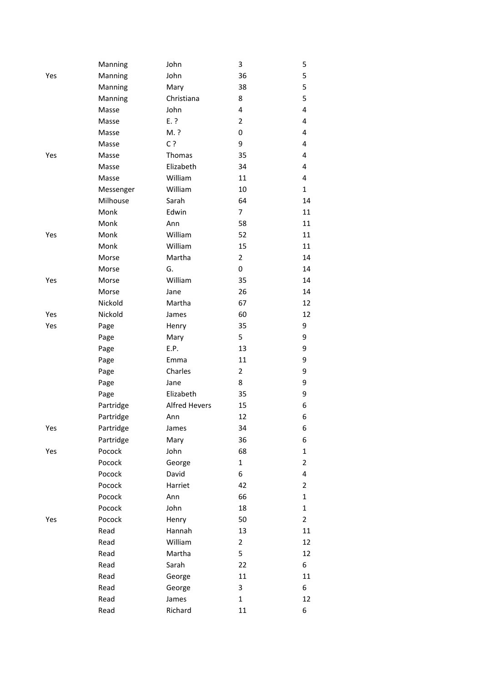|     | Manning   | John                 | 3              | 5              |
|-----|-----------|----------------------|----------------|----------------|
| Yes | Manning   | John                 | 36             | 5              |
|     | Manning   | Mary                 | 38             | 5              |
|     | Manning   | Christiana           | 8              | 5              |
|     | Masse     | John                 | 4              | 4              |
|     | Masse     | $E.$ ?               | $\overline{2}$ | 4              |
|     | Masse     | M. ?                 | 0              | 4              |
|     | Masse     | C?                   | 9              | 4              |
| Yes | Masse     | Thomas               | 35             | 4              |
|     | Masse     | Elizabeth            | 34             | 4              |
|     | Masse     | William              | 11             | 4              |
|     | Messenger | William              | 10             | $\mathbf{1}$   |
|     | Milhouse  | Sarah                | 64             | 14             |
|     | Monk      | Edwin                | $\overline{7}$ | 11             |
|     | Monk      | Ann                  | 58             | 11             |
| Yes | Monk      | William              | 52             | 11             |
|     | Monk      | William              | 15             | 11             |
|     | Morse     | Martha               | $\overline{2}$ | 14             |
|     | Morse     | G.                   | 0              | 14             |
| Yes | Morse     | William              | 35             | 14             |
|     | Morse     | Jane                 | 26             | 14             |
|     | Nickold   | Martha               | 67             | 12             |
| Yes | Nickold   | James                | 60             | 12             |
| Yes | Page      | Henry                | 35             | 9              |
|     | Page      | Mary                 | 5              | 9              |
|     | Page      | E.P.                 | 13             | 9              |
|     | Page      | Emma                 | 11             | 9              |
|     | Page      | Charles              | $\overline{2}$ | 9              |
|     | Page      | Jane                 | 8              | 9              |
|     | Page      | Elizabeth            | 35             | 9              |
|     | Partridge | <b>Alfred Hevers</b> | 15             | 6              |
|     | Partridge | Ann                  | 12             | 6              |
| Yes | Partridge | James                | 34             | 6              |
|     | Partridge | Mary                 | 36             | 6              |
| Yes | Pocock    | John                 | 68             | $\mathbf{1}$   |
|     | Pocock    | George               | $\mathbf{1}$   | $\overline{2}$ |
|     | Pocock    | David                | 6              | 4              |
|     | Pocock    | Harriet              | 42             | 2              |
|     | Pocock    | Ann                  | 66             | $\mathbf{1}$   |
|     | Pocock    | John                 | 18             | 1              |
| Yes | Pocock    | Henry                | 50             | $\overline{2}$ |
|     | Read      | Hannah               | 13             | 11             |
|     | Read      | William              | $\overline{2}$ | 12             |
|     | Read      | Martha               | 5              | 12             |
|     | Read      | Sarah                | 22             | 6              |
|     | Read      | George               | 11             | 11             |
|     | Read      | George               | 3              | 6              |
|     | Read      | James                | $\mathbf{1}$   | 12             |
|     | Read      | Richard              | 11             | 6              |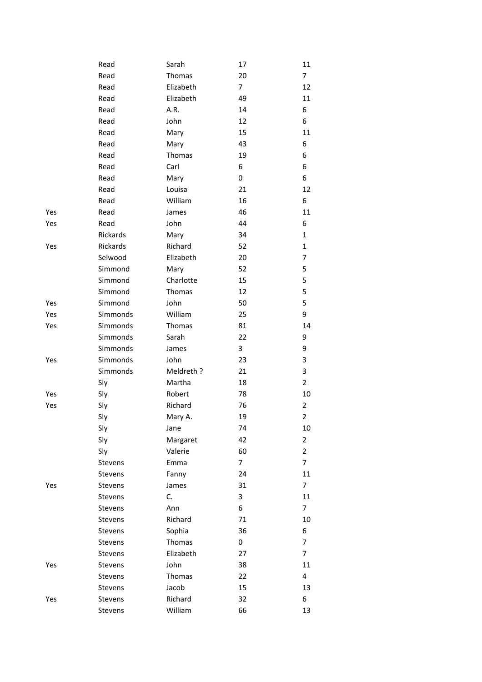|     | Read     | Sarah     | 17             | 11             |
|-----|----------|-----------|----------------|----------------|
|     | Read     | Thomas    | 20             | $\overline{7}$ |
|     | Read     | Elizabeth | $\overline{7}$ | 12             |
|     | Read     | Elizabeth | 49             | 11             |
|     | Read     | A.R.      | 14             | 6              |
|     | Read     | John      | 12             | 6              |
|     | Read     | Mary      | 15             | 11             |
|     | Read     | Mary      | 43             | 6              |
|     | Read     | Thomas    | 19             | 6              |
|     | Read     | Carl      | 6              | 6              |
|     | Read     | Mary      | 0              | 6              |
|     | Read     | Louisa    | 21             | 12             |
|     | Read     | William   | 16             | 6              |
| Yes | Read     | James     | 46             | 11             |
| Yes | Read     | John      | 44             | 6              |
|     | Rickards | Mary      | 34             | $\mathbf{1}$   |
| Yes | Rickards | Richard   | 52             | 1              |
|     | Selwood  | Elizabeth | 20             | 7              |
|     | Simmond  | Mary      | 52             | 5              |
|     | Simmond  | Charlotte | 15             | 5              |
|     | Simmond  | Thomas    | 12             | 5              |
| Yes | Simmond  | John      | 50             | 5              |
| Yes | Simmonds | William   | 25             | 9              |
| Yes | Simmonds | Thomas    | 81             | 14             |
|     | Simmonds | Sarah     | 22             | 9              |
|     | Simmonds | James     | 3              | 9              |
| Yes | Simmonds | John      | 23             | 3              |
|     | Simmonds | Meldreth? | 21             | 3              |
|     | Sly      | Martha    | 18             | $\overline{2}$ |
| Yes | Sly      | Robert    | 78             | 10             |
| Yes | Sly      | Richard   | 76             | 2              |
|     | Sly      | Mary A.   | 19             | $\overline{2}$ |
|     | Sly      | Jane      | 74             | 10             |
|     | Sly      | Margaret  | 42             | $\overline{2}$ |
|     | Sly      | Valerie   | 60             | $\overline{2}$ |
|     | Stevens  | Emma      | 7              | $\overline{7}$ |
|     | Stevens  | Fanny     | 24             | 11             |
| Yes | Stevens  | James     | 31             | 7              |
|     | Stevens  | C.        | 3              | 11             |
|     | Stevens  | Ann       | 6              | 7              |
|     | Stevens  | Richard   | 71             | 10             |
|     | Stevens  | Sophia    | 36             | 6              |
|     | Stevens  | Thomas    | 0              | 7              |
|     | Stevens  | Elizabeth | 27             | 7              |
| Yes | Stevens  | John      | 38             | 11             |
|     | Stevens  | Thomas    | 22             | 4              |
|     | Stevens  | Jacob     | 15             | 13             |
| Yes | Stevens  | Richard   | 32             | 6              |
|     | Stevens  | William   | 66             | 13             |